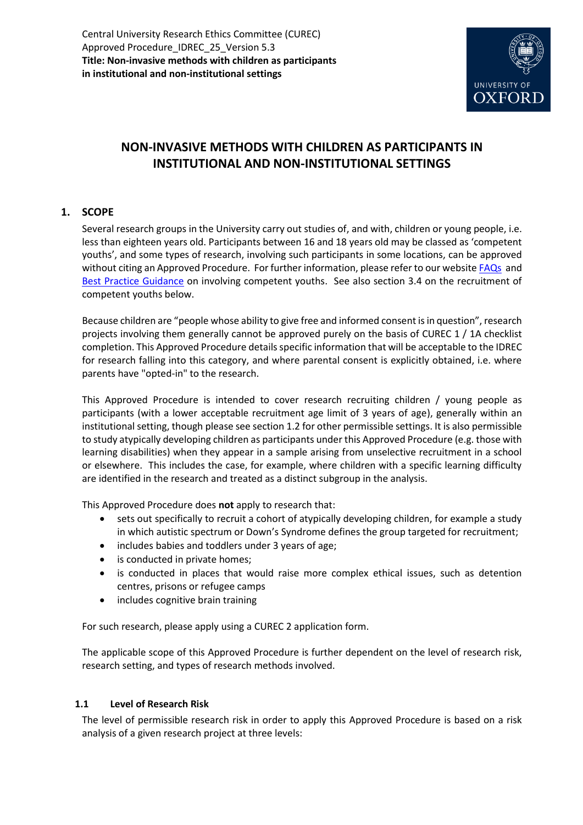

# **NON-INVASIVE METHODS WITH CHILDREN AS PARTICIPANTS IN INSTITUTIONAL AND NON-INSTITUTIONAL SETTINGS**

# **1. SCOPE**

Several research groups in the University carry out studies of, and with, children or young people, i.e. less than eighteen years old. Participants between 16 and 18 years old may be classed as 'competent youths', and some types of research, involving such participants in some locations, can be approved without citing an Approved Procedure. For further information, please refer to our websit[e FAQs](http://researchsupport.admin.ox.ac.uk/governance/ethics/faqs-glossary/faqs#collapse3-11) and [Best Practice Guidance](http://researchsupport.admin.ox.ac.uk/governance/ethics/resources/bpg) on involving competent youths. See also section 3.4 on the recruitment of competent youths below.

Because children are "people whose ability to give free and informed consent is in question", research projects involving them generally cannot be approved purely on the basis of CUREC 1 / 1A checklist completion. This Approved Procedure details specific information that will be acceptable to the IDREC for research falling into this category, and where parental consent is explicitly obtained, i.e. where parents have "opted-in" to the research.

This Approved Procedure is intended to cover research recruiting children / young people as participants (with a lower acceptable recruitment age limit of 3 years of age), generally within an institutional setting, though please see section 1.2 for other permissible settings. It is also permissible to study atypically developing children as participants under this Approved Procedure (e.g. those with learning disabilities) when they appear in a sample arising from unselective recruitment in a school or elsewhere. This includes the case, for example, where children with a specific learning difficulty are identified in the research and treated as a distinct subgroup in the analysis.

This Approved Procedure does **not** apply to research that:

- sets out specifically to recruit a cohort of atypically developing children, for example a study in which autistic spectrum or Down's Syndrome defines the group targeted for recruitment;
- includes babies and toddlers under 3 years of age;
- is conducted in private homes;
- is conducted in places that would raise more complex ethical issues, such as detention centres, prisons or refugee camps
- includes cognitive brain training

For such research, please apply using a CUREC 2 application form.

The applicable scope of this Approved Procedure is further dependent on the level of research risk, research setting, and types of research methods involved.

# **1.1 Level of Research Risk**

The level of permissible research risk in order to apply this Approved Procedure is based on a risk analysis of a given research project at three levels: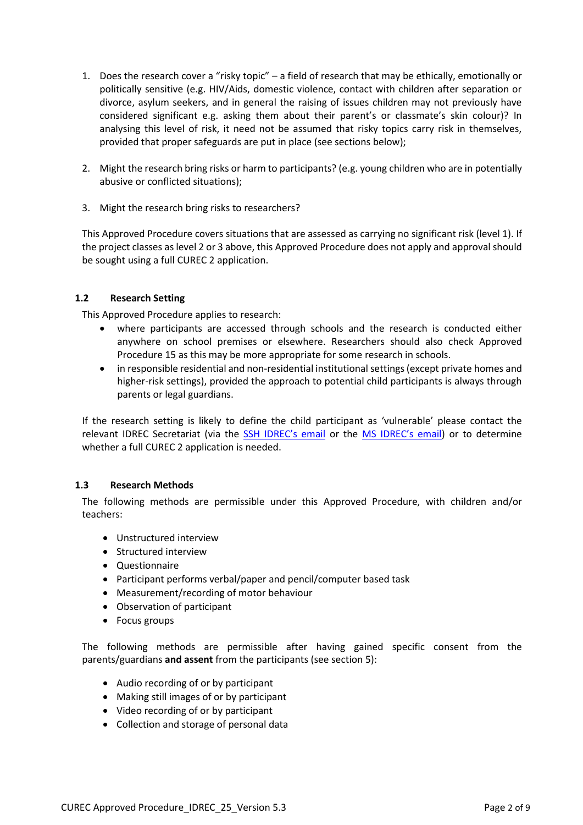- 1. Does the research cover a "risky topic" a field of research that may be ethically, emotionally or politically sensitive (e.g. HIV/Aids, domestic violence, contact with children after separation or divorce, asylum seekers, and in general the raising of issues children may not previously have considered significant e.g. asking them about their parent's or classmate's skin colour)? In analysing this level of risk, it need not be assumed that risky topics carry risk in themselves, provided that proper safeguards are put in place (see sections below);
- 2. Might the research bring risks or harm to participants? (e.g. young children who are in potentially abusive or conflicted situations);
- 3. Might the research bring risks to researchers?

This Approved Procedure covers situations that are assessed as carrying no significant risk (level 1). If the project classes as level 2 or 3 above, this Approved Procedure does not apply and approval should be sought using a full CUREC 2 application.

#### **1.2 Research Setting**

This Approved Procedure applies to research:

- where participants are accessed through schools and the research is conducted either anywhere on school premises or elsewhere. Researchers should also check Approved Procedure 15 as this may be more appropriate for some research in schools.
- in responsible residential and non-residential institutional settings (except private homes and higher-risk settings), provided the approach to potential child participants is always through parents or legal guardians.

If the research setting is likely to define the child participant as 'vulnerable' please contact the relevant IDREC Secretariat (via the [SSH IDREC's email](mailto:ethics@socsci.ox.ac.uk) or the [MS IDREC's email](mailto:ethics@medsci.ox.ac.uk)) or to determine whether a full CUREC 2 application is needed.

#### **1.3 Research Methods**

The following methods are permissible under this Approved Procedure, with children and/or teachers:

- Unstructured interview
- Structured interview
- Questionnaire
- Participant performs verbal/paper and pencil/computer based task
- Measurement/recording of motor behaviour
- Observation of participant
- Focus groups

The following methods are permissible after having gained specific consent from the parents/guardians **and assent** from the participants (see section 5):

- Audio recording of or by participant
- Making still images of or by participant
- Video recording of or by participant
- Collection and storage of personal data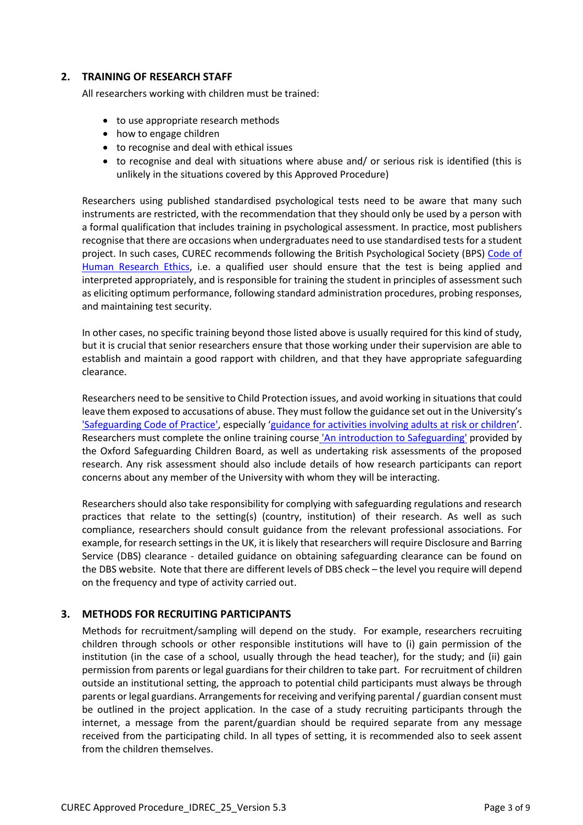### **2. TRAINING OF RESEARCH STAFF**

All researchers working with children must be trained:

- to use appropriate research methods
- how to engage children
- to recognise and deal with ethical issues
- to recognise and deal with situations where abuse and/ or serious risk is identified (this is unlikely in the situations covered by this Approved Procedure)

Researchers using published standardised psychological tests need to be aware that many such instruments are restricted, with the recommendation that they should only be used by a person with a formal qualification that includes training in psychological assessment. In practice, most publishers recognise that there are occasions when undergraduates need to use standardised tests for a student project. In such cases, CUREC recommends following the British Psychological Society (BPS) [Code of](http://www.bps.org.uk/sites/default/files/documents/code_of_human_research_ethics.pdf)  [Human Research Ethics,](http://www.bps.org.uk/sites/default/files/documents/code_of_human_research_ethics.pdf) i.e. a qualified user should ensure that the test is being applied and interpreted appropriately, and is responsible for training the student in principles of assessment such as eliciting optimum performance, following standard administration procedures, probing responses, and maintaining test security.

In other cases, no specific training beyond those listed above is usually required for this kind of study, but it is crucial that senior researchers ensure that those working under their supervision are able to establish and maintain a good rapport with children, and that they have appropriate safeguarding clearance.

Researchers need to be sensitive to Child Protection issues, and avoid working in situations that could leave them exposed to accusations of abuse. They must follow the guidance set out in the University's ['Safeguarding Code of Practice',](https://hr.admin.ox.ac.uk/safeguarding-at-risk-adults-and-children) especially '[guidance for activities involving adults at risk or children](https://www.admin.ox.ac.uk/personnel/cops/safeguarding/safeguide/)'. Researchers must complete the online training course ['An introduction to Safeguarding'](https://hr.admin.ox.ac.uk/safeguarding-at-risk-adults-and-children#collapse1406916) provided by the Oxford Safeguarding Children Board, as well as undertaking risk assessments of the proposed research. Any risk assessment should also include details of how research participants can report concerns about any member of the University with whom they will be interacting.

Researchers should also take responsibility for complying with safeguarding regulations and research practices that relate to the setting(s) (country, institution) of their research. As well as such compliance, researchers should consult guidance from the relevant professional associations. For example, for research settings in the UK, it is likely that researchers will require Disclosure and Barring Service (DBS) clearance - detailed guidance on obtaining safeguarding clearance can be found on the [DBS website.](https://www.gov.uk/government/organisations/disclosure-and-barring-service) Note that there are different levels of DBS check – the level you require will depend on the frequency and type of activity carried out.

# **3. METHODS FOR RECRUITING PARTICIPANTS**

Methods for recruitment/sampling will depend on the study. For example, researchers recruiting children through schools or other responsible institutions will have to (i) gain permission of the institution (in the case of a school, usually through the head teacher), for the study; and (ii) gain permission from parents or legal guardians for their children to take part. For recruitment of children outside an institutional setting, the approach to potential child participants must always be through parents or legal guardians. Arrangements for receiving and verifying parental / guardian consent must be outlined in the project application. In the case of a study recruiting participants through the internet, a message from the parent/guardian should be required separate from any message received from the participating child. In all types of setting, it is recommended also to seek assent from the children themselves.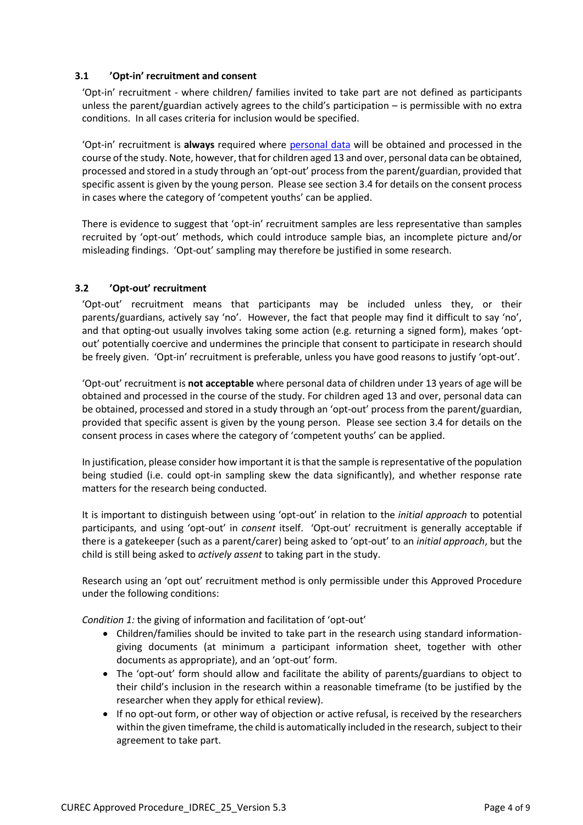### **3.1 'Opt-in' recruitment and consent**

'Opt-in' recruitment - where children/ families invited to take part are not defined as participants unless the parent/guardian actively agrees to the child's participation – is permissible with no extra conditions. In all cases criteria for inclusion would be specified.

'Opt-in' recruitment is **always** required where [personal data](http://researchsupport.admin.ox.ac.uk/governance/ethics/faqs-glossary/glossary#P) will be obtained and processed in the course of the study. Note, however, that for children aged 13 and over, personal data can be obtained, processed and stored in a study through an 'opt-out' process from the parent/guardian, provided that specific assent is given by the young person. Please see section 3.4 for details on the consent process in cases where the category of 'competent youths' can be applied.

There is evidence to suggest that 'opt-in' recruitment samples are less representative than samples recruited by 'opt-out' methods, which could introduce sample bias, an incomplete picture and/or misleading findings. 'Opt-out' sampling may therefore be justified in some research.

#### **3.2 'Opt-out' recruitment**

'Opt-out' recruitment means that participants may be included unless they, or their parents/guardians, actively say 'no'. However, the fact that people may find it difficult to say 'no', and that opting-out usually involves taking some action (e.g. returning a signed form), makes 'optout' potentially coercive and undermines the principle that consent to participate in research should be freely given. 'Opt-in' recruitment is preferable, unless you have good reasons to justify 'opt-out'.

'Opt-out' recruitment is **not acceptable** where personal data of children under 13 years of age will be obtained and processed in the course of the study. For children aged 13 and over, personal data can be obtained, processed and stored in a study through an 'opt-out' process from the parent/guardian, provided that specific assent is given by the young person. Please see section 3.4 for details on the consent process in cases where the category of 'competent youths' can be applied.

In justification, please consider how important it is that the sample is representative of the population being studied (i.e. could opt-in sampling skew the data significantly), and whether response rate matters for the research being conducted.

It is important to distinguish between using 'opt-out' in relation to the *initial approach* to potential participants, and using 'opt-out' in *consent* itself. 'Opt-out' recruitment is generally acceptable if there is a gatekeeper (such as a parent/carer) being asked to 'opt-out' to an *initial approach*, but the child is still being asked to *actively assent* to taking part in the study.

Research using an 'opt out' recruitment method is only permissible under this Approved Procedure under the following conditions:

*Condition 1:* the giving of information and facilitation of 'opt-out'

- Children/families should be invited to take part in the research using standard informationgiving documents (at minimum a participant information sheet, together with other documents as appropriate), and an 'opt-out' form.
- The 'opt-out' form should allow and facilitate the ability of parents/guardians to object to their child's inclusion in the research within a reasonable timeframe (to be justified by the researcher when they apply for ethical review).
- If no opt-out form, or other way of objection or active refusal, is received by the researchers within the given timeframe, the child is automatically included in the research, subject to their agreement to take part.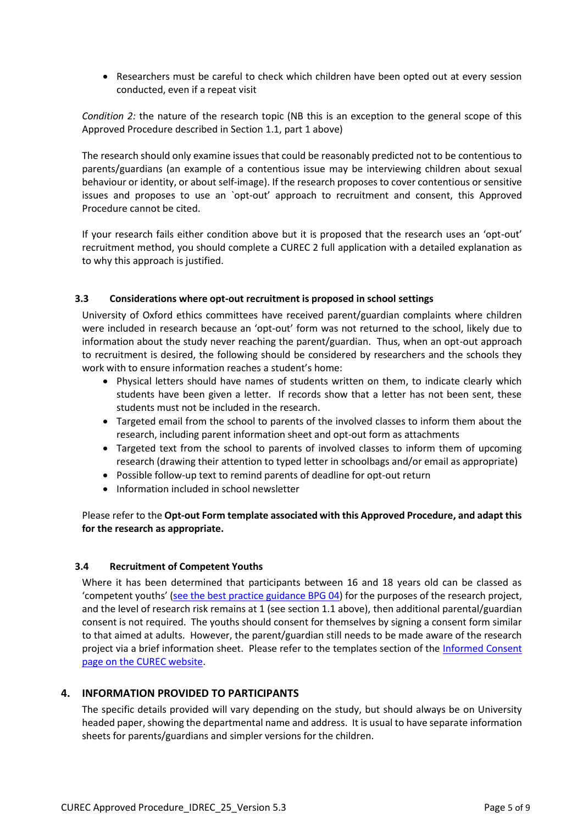• Researchers must be careful to check which children have been opted out at every session conducted, even if a repeat visit

*Condition 2:* the nature of the research topic (NB this is an exception to the general scope of this Approved Procedure described in Section 1.1, part 1 above)

The research should only examine issues that could be reasonably predicted not to be contentious to parents/guardians (an example of a contentious issue may be interviewing children about sexual behaviour or identity, or about self-image). If the research proposes to cover contentious or sensitive issues and proposes to use an `opt-out' approach to recruitment and consent, this Approved Procedure cannot be cited.

If your research fails either condition above but it is proposed that the research uses an 'opt-out' recruitment method, you should complete a CUREC 2 full application with a detailed explanation as to why this approach is justified.

#### **3.3 Considerations where opt-out recruitment is proposed in school settings**

University of Oxford ethics committees have received parent/guardian complaints where children were included in research because an 'opt-out' form was not returned to the school, likely due to information about the study never reaching the parent/guardian. Thus, when an opt-out approach to recruitment is desired, the following should be considered by researchers and the schools they work with to ensure information reaches a student's home:

- Physical letters should have names of students written on them, to indicate clearly which students have been given a letter. If records show that a letter has not been sent, these students must not be included in the research.
- Targeted email from the school to parents of the involved classes to inform them about the research, including parent information sheet and opt-out form as attachments
- Targeted text from the school to parents of involved classes to inform them of upcoming research (drawing their attention to typed letter in schoolbags and/or email as appropriate)
- Possible follow-up text to remind parents of deadline for opt-out return
- Information included in school newsletter

Please refer to the **Opt-out Form template associated with this Approved Procedure, and adapt this for the research as appropriate.**

#### **3.4 Recruitment of Competent Youths**

Where it has been determined that participants between 16 and 18 years old can be classed as 'competent youths' ([see the best practice guidance BPG](http://researchsupport.admin.ox.ac.uk/governance/ethics/resources/bpg) 04) for the purposes of the research project, and the level of research risk remains at 1 (see section 1.1 above), then additional parental/guardian consent is not required. The youths should consent for themselves by signing a consent form similar to that aimed at adults. However, the parent/guardian still needs to be made aware of the research project via a brief information sheet. Please refer to the templates section of the [Informed Consent](https://researchsupport.admin.ox.ac.uk/governance/ethics/resources/consent)  [page on the CUREC website.](https://researchsupport.admin.ox.ac.uk/governance/ethics/resources/consent)

# **4. INFORMATION PROVIDED TO PARTICIPANTS**

The specific details provided will vary depending on the study, but should always be on University headed paper, showing the departmental name and address. It is usual to have separate information sheets for parents/guardians and simpler versions for the children.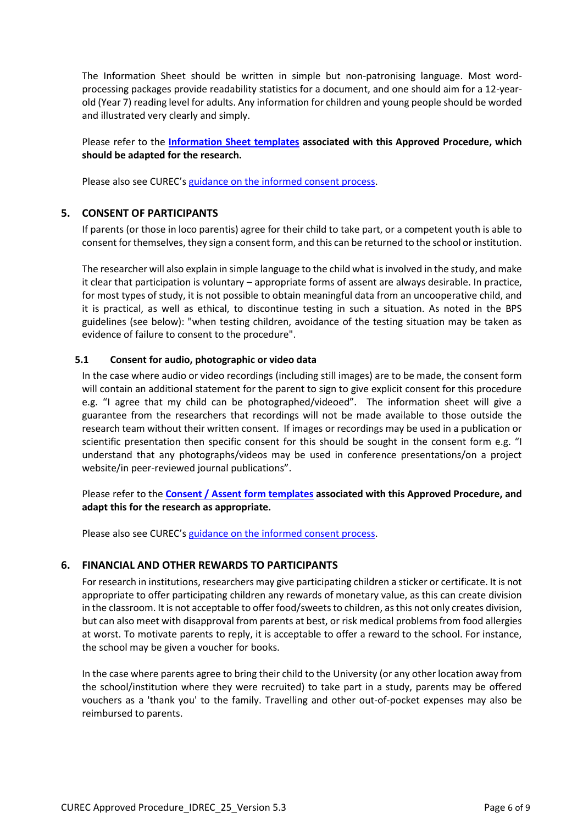The Information Sheet should be written in simple but non-patronising language. Most wordprocessing packages provide readability statistics for a document, and one should aim for a 12-yearold (Year 7) reading level for adults. Any information for children and young people should be worded and illustrated very clearly and simply.

Please refer to the **[Information Sheet](https://researchsupport.admin.ox.ac.uk/governance/ethics/resources/ap#collapse3-1) templates associated with this Approved Procedure, which should be adapted for the research.**

Please also see CUREC's [guidance on the informed consent process.](http://researchsupport.admin.ox.ac.uk/governance/ethics/resources/consent)

#### **5. CONSENT OF PARTICIPANTS**

If parents (or those in loco parentis) agree for their child to take part, or a competent youth is able to consent for themselves, they sign a consent form, and this can be returned to the school or institution.

The researcher will also explain in simple language to the child what is involved in the study, and make it clear that participation is voluntary – appropriate forms of assent are always desirable. In practice, for most types of study, it is not possible to obtain meaningful data from an uncooperative child, and it is practical, as well as ethical, to discontinue testing in such a situation. As noted in the BPS guidelines (see below): "when testing children, avoidance of the testing situation may be taken as evidence of failure to consent to the procedure".

#### **5.1 Consent for audio, photographic or video data**

In the case where audio or video recordings (including still images) are to be made, the consent form will contain an additional statement for the parent to sign to give explicit consent for this procedure e.g. "I agree that my child can be photographed/videoed". The information sheet will give a guarantee from the researchers that recordings will not be made available to those outside the research team without their written consent. If images or recordings may be used in a publication or scientific presentation then specific consent for this should be sought in the consent form e.g. "I understand that any photographs/videos may be used in conference presentations/on a project website/in peer-reviewed journal publications".

Please refer to the **[Consent / Assent form](https://researchsupport.admin.ox.ac.uk/governance/ethics/resources/ap#collapse3-1) templates associated with this Approved Procedure, and adapt this for the research as appropriate.**

Please also see CUREC's [guidance on the informed consent process.](http://researchsupport.admin.ox.ac.uk/governance/ethics/resources/consent)

#### **6. FINANCIAL AND OTHER REWARDS TO PARTICIPANTS**

For research in institutions, researchers may give participating children a sticker or certificate. It is not appropriate to offer participating children any rewards of monetary value, as this can create division in the classroom. It is not acceptable to offer food/sweets to children, as this not only creates division, but can also meet with disapproval from parents at best, or risk medical problems from food allergies at worst. To motivate parents to reply, it is acceptable to offer a reward to the school. For instance, the school may be given a voucher for books.

In the case where parents agree to bring their child to the University (or any other location away from the school/institution where they were recruited) to take part in a study, parents may be offered vouchers as a 'thank you' to the family. Travelling and other out-of-pocket expenses may also be reimbursed to parents.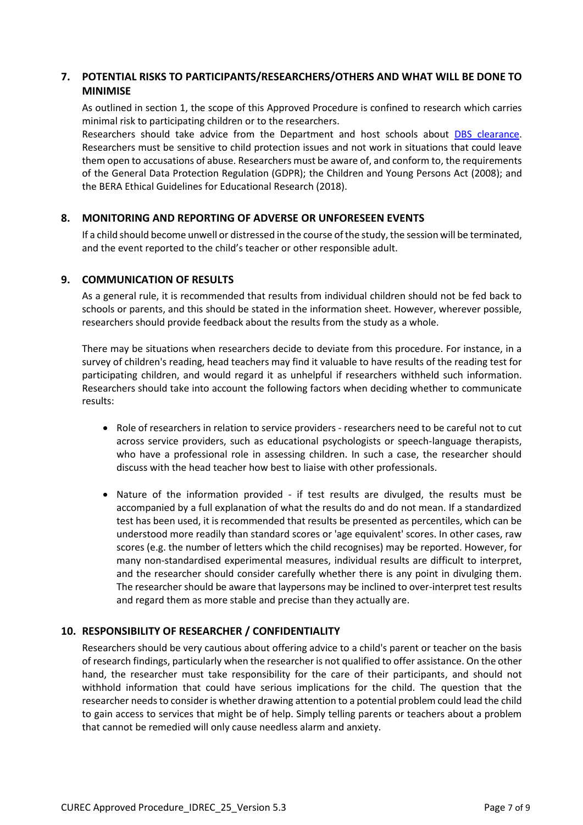# **7. POTENTIAL RISKS TO PARTICIPANTS/RESEARCHERS/OTHERS AND WHAT WILL BE DONE TO MINIMISE**

As outlined in section 1, the scope of this Approved Procedure is confined to research which carries minimal risk to participating children or to the researchers.

Researchers should take advice from the Department and host schools about [DBS clearance.](https://www.gov.uk/disclosure-barring-service-check/overview) Researchers must be sensitive to child protection issues and not work in situations that could leave them open to accusations of abuse. Researchers must be aware of, and conform to, the requirements of the General Data Protection Regulation (GDPR); the Children and Young Persons Act (2008); and the BERA Ethical Guidelines for Educational Research (2018).

#### **8. MONITORING AND REPORTING OF ADVERSE OR UNFORESEEN EVENTS**

If a child should become unwell or distressed in the course of the study, the session will be terminated, and the event reported to the child's teacher or other responsible adult.

#### **9. COMMUNICATION OF RESULTS**

As a general rule, it is recommended that results from individual children should not be fed back to schools or parents, and this should be stated in the information sheet. However, wherever possible, researchers should provide feedback about the results from the study as a whole.

There may be situations when researchers decide to deviate from this procedure. For instance, in a survey of children's reading, head teachers may find it valuable to have results of the reading test for participating children, and would regard it as unhelpful if researchers withheld such information. Researchers should take into account the following factors when deciding whether to communicate results:

- Role of researchers in relation to service providers researchers need to be careful not to cut across service providers, such as educational psychologists or speech-language therapists, who have a professional role in assessing children. In such a case, the researcher should discuss with the head teacher how best to liaise with other professionals.
- Nature of the information provided if test results are divulged, the results must be accompanied by a full explanation of what the results do and do not mean. If a standardized test has been used, it is recommended that results be presented as percentiles, which can be understood more readily than standard scores or 'age equivalent' scores. In other cases, raw scores (e.g. the number of letters which the child recognises) may be reported. However, for many non-standardised experimental measures, individual results are difficult to interpret, and the researcher should consider carefully whether there is any point in divulging them. The researcher should be aware that laypersons may be inclined to over-interpret test results and regard them as more stable and precise than they actually are.

# **10. RESPONSIBILITY OF RESEARCHER / CONFIDENTIALITY**

Researchers should be very cautious about offering advice to a child's parent or teacher on the basis of research findings, particularly when the researcher is not qualified to offer assistance. On the other hand, the researcher must take responsibility for the care of their participants, and should not withhold information that could have serious implications for the child. The question that the researcher needs to consider is whether drawing attention to a potential problem could lead the child to gain access to services that might be of help. Simply telling parents or teachers about a problem that cannot be remedied will only cause needless alarm and anxiety.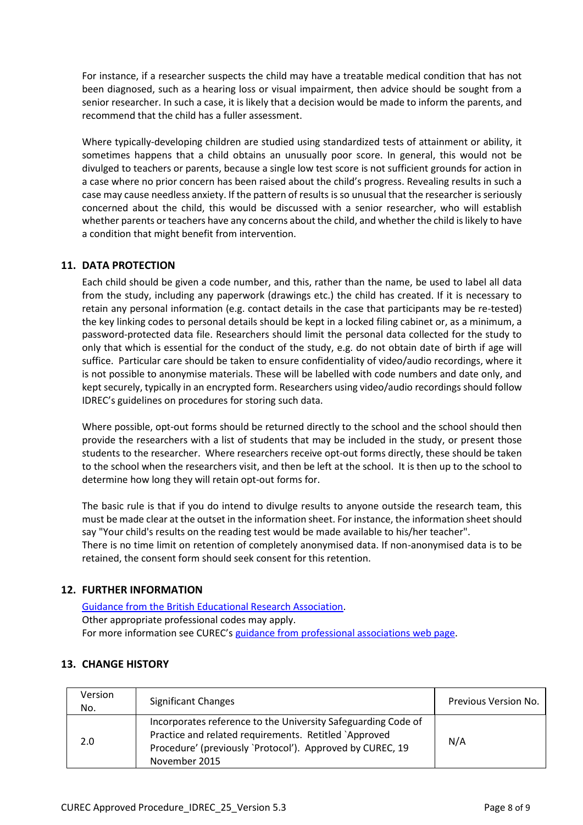For instance, if a researcher suspects the child may have a treatable medical condition that has not been diagnosed, such as a hearing loss or visual impairment, then advice should be sought from a senior researcher. In such a case, it is likely that a decision would be made to inform the parents, and recommend that the child has a fuller assessment.

Where typically-developing children are studied using standardized tests of attainment or ability, it sometimes happens that a child obtains an unusually poor score. In general, this would not be divulged to teachers or parents, because a single low test score is not sufficient grounds for action in a case where no prior concern has been raised about the child's progress. Revealing results in such a case may cause needless anxiety. If the pattern of results is so unusual that the researcher is seriously concerned about the child, this would be discussed with a senior researcher, who will establish whether parents or teachers have any concerns about the child, and whether the child is likely to have a condition that might benefit from intervention.

# **11. DATA PROTECTION**

Each child should be given a code number, and this, rather than the name, be used to label all data from the study, including any paperwork (drawings etc.) the child has created. If it is necessary to retain any personal information (e.g. contact details in the case that participants may be re-tested) the key linking codes to personal details should be kept in a locked filing cabinet or, as a minimum, a password-protected data file. Researchers should limit the personal data collected for the study to only that which is essential for the conduct of the study, e.g. do not obtain date of birth if age will suffice. Particular care should be taken to ensure confidentiality of video/audio recordings, where it is not possible to anonymise materials. These will be labelled with code numbers and date only, and kept securely, typically in an encrypted form. Researchers using video/audio recordings should follow IDREC's guidelines on procedures for storing such data.

Where possible, opt-out forms should be returned directly to the school and the school should then provide the researchers with a list of students that may be included in the study, or present those students to the researcher. Where researchers receive opt-out forms directly, these should be taken to the school when the researchers visit, and then be left at the school. It is then up to the school to determine how long they will retain opt-out forms for.

The basic rule is that if you do intend to divulge results to anyone outside the research team, this must be made clear at the outset in the information sheet. For instance, the information sheet should say "Your child's results on the reading test would be made available to his/her teacher". There is no time limit on retention of completely anonymised data. If non-anonymised data is to be retained, the consent form should seek consent for this retention.

# **12. FURTHER INFORMATION**

[Guidance from the British Educational Research Association.](https://www.bera.ac.uk/publication/ethical-guidelines-for-educational-research-2018) Other appropriate professional codes may apply. For more information see CUREC's [guidance from professional associations web page.](http://researchsupport.admin.ox.ac.uk/governance/ethics/resources/guidance)

# **13. CHANGE HISTORY**

| Version<br>No. | <b>Significant Changes</b>                                                                                                                                                                           | Previous Version No. |
|----------------|------------------------------------------------------------------------------------------------------------------------------------------------------------------------------------------------------|----------------------|
| 2.0            | Incorporates reference to the University Safeguarding Code of<br>Practice and related requirements. Retitled `Approved<br>Procedure' (previously 'Protocol'). Approved by CUREC, 19<br>November 2015 | N/A                  |